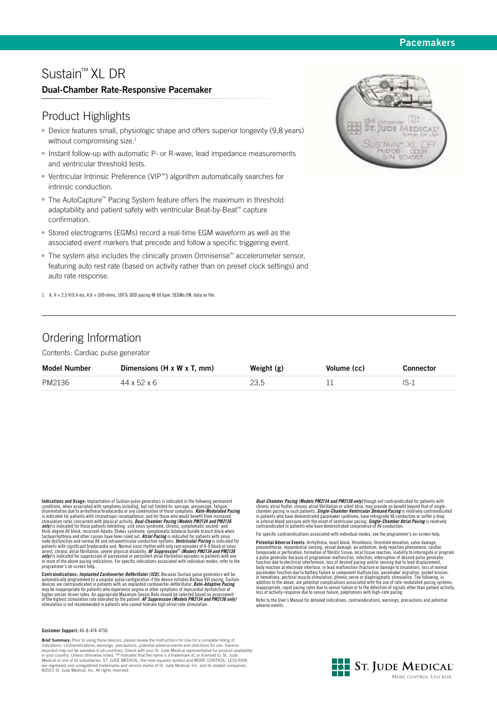### **Pacemakers**

# Sustain™ XL DR

### **Dual-Chamber Rate-Responsive Pacemaker**

## Product Highlights

- Device features small, physiologic shape and offers superior longevity (9,8 years) without compromising size.<sup>1</sup>
- Instant follow-up with automatic P- or R-wave, lead impedance measurements and ventricular threshold tests.
- - Ventricular Intrinsic Preference (VIP™) algorithm automatically searches for intrinsic conduction.
- The AutoCapture™ Pacing System feature offers the maximum in threshold adaptability and patient safety with ventricular Beat-by-Beat™ capture confirmation.
- Stored electrograms (EGMs) record a real-time EGM waveform as well as the associated event markers that precede and follow a specific triggering event.
- The system also includes the clinically proven Omnisense™ accelerometer sensor, featuring auto rest rate (based on activity rather than on preset clock settings) and auto rate response.

1. A,  $V = 2.5$  V/0,4 ms, A,  $V = 500$  ohms, 100% DDD pacing @ 60 bpm, SEGMs ON; data on file.



## Ordering Information

Contents: Cardiac pulse generator

| <b>Model Number</b> | Dimensions $(H \times W \times T$ . mm) | Weight $(g)$ | Volume (cc) | Connector |
|---------------------|-----------------------------------------|--------------|-------------|-----------|
| PM2136              | 44 x 52 x 6                             | 23.5         |             |           |

Indications and Usage: Implantation of Sustian pulse generators is indicated in the following permanent conditions, when associated with symptoms including, but not limited to: syncope, presyncope, fatigue, disorientation

**Contraindications:** *Implanted Cardioverter-Defibrillator (ICD)***, Because Sustain pulse generators will be<br>automatically programmed to a unipolar pulse configuration if the device initiates Backup VVI pacing, Sustain<br>devic** may be inappropriate for patients who experience angina or other symptoms of myocardial dysfunction at <sup>--</sup><br>higher sensor-driven rates. An appropriate Maximum Sensor Rate should be selected based on assessment<br>of the highe

#### **Customer Support:** 46-8-474-4756

**Brief Summary:** Prior to using these devices, please review the Instructions for Use for a complete listing of indications, contraindications, warnings, precautions, potential adverse events and directions for use. Devices depicted may not be available in all countries. Check with your St. Jude Medical representative for product availability<br>in your country. Unless otherwise noted, ™ indicates that the name is a trademark of, or licensed to,

**Dual-Chamber Pacing (Models PM2134 and PM2136 only)** though not contraindicated for patients with chronic atrial flutter, chronic atrial fibrillation or silent atria, may provide no benefit beyond that of single-<br>chamber pacing in such patients. *Single-Chamber Ventricular Demand Pacing* is relatively contraindicated in patients who have demonstrated pacemaker syndrome, have retrograde VA conduction or suffer a drop<br>in arterial blood pressure with the onset of ventricular pacing. **Single-Chamber Atrial Pacing** is relatively<br>contraindic

For specific contraindications associated with individual modes, see the programmer's on-screen help.

**Potential Adverse Events:** Arrhythmia, heart block, thrombosis, threshold elevation, valve damage, pneumothorax, myopotential sensing, vessel damage, air embolism, body rejection phenomena, cardiac<br>tamponade or perforation, formation of fibrotic tissue; local tissue reaction, inability to interrogate or program<br>a pulse pacemaker function due to battery failure or component malfunction, pacemaker migration, pocket erosion,<br>or hematoma, pectoral muscle stimulation, phrenic nerve or diaphragmatic stimulation. The following, in<br>addition to t inappropriate, rapid pacing rates due to sensor failure or to the detection of signals other than patient activity,<br>loss of activity-response due to sensor failure, palpitations with high-rate pacing.

Refer to the User's Manual for detailed indications, contraindications, warnings, precautions and potential adverse events.